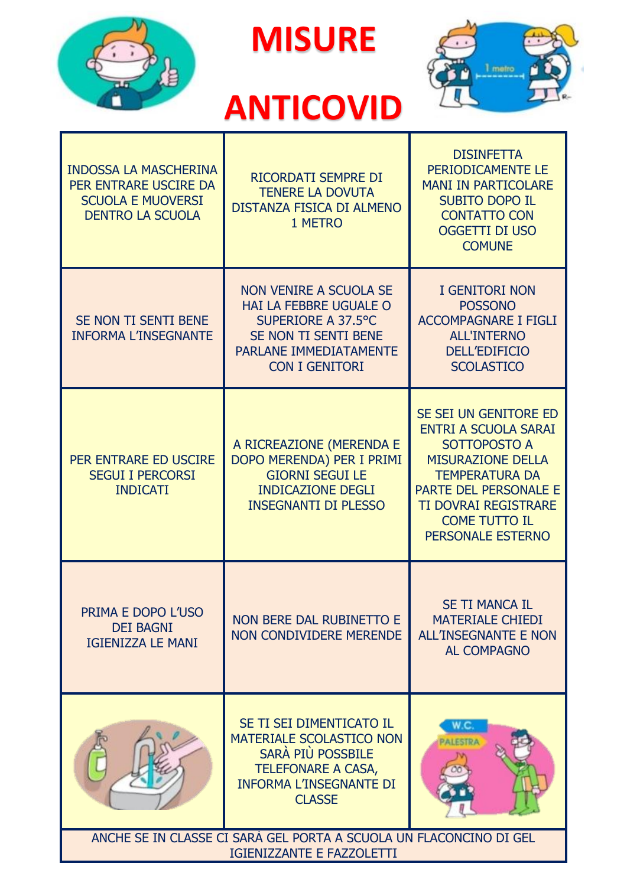

**MISURE** 



## **ANTICOVID**

| <b>INDOSSA LA MASCHERINA</b><br>PER ENTRARE USCIRE DA<br><b>SCUOLA E MUOVERSI</b><br><b>DENTRO LA SCUOLA</b> | RICORDATI SEMPRE DI<br><b>TENERE LA DOVUTA</b><br><b>DISTANZA FISICA DI ALMENO</b><br>1 METRO                                                             | <b>DISINFETTA</b><br>PERIODICAMENTE LE<br><b>MANI IN PARTICOLARE</b><br><b>SUBITO DOPO IL</b><br><b>CONTATTO CON</b><br><b>OGGETTI DI USO</b><br><b>COMUNE</b>                                                                 |
|--------------------------------------------------------------------------------------------------------------|-----------------------------------------------------------------------------------------------------------------------------------------------------------|--------------------------------------------------------------------------------------------------------------------------------------------------------------------------------------------------------------------------------|
| SE NON TI SENTI BENE<br><b>INFORMA L'INSEGNANTE</b>                                                          | NON VENIRE A SCUOLA SE<br>HAI LA FEBBRE UGUALE O<br>SUPERIORE A 37.5°C<br>SE NON TI SENTI BENE<br>PARLANE IMMEDIATAMENTE<br><b>CON I GENITORI</b>         | <b>I GENITORI NON</b><br><b>POSSONO</b><br><b>ACCOMPAGNARE I FIGLI</b><br><b>ALL'INTERNO</b><br><b>DELL'EDIFICIO</b><br><b>SCOLASTICO</b>                                                                                      |
| PER ENTRARE ED USCIRE<br><b>SEGUI I PERCORSI</b><br><b>INDICATI</b>                                          | A RICREAZIONE (MERENDA E<br>DOPO MERENDA) PER I PRIMI<br><b>GIORNI SEGUI LE</b><br><b>INDICAZIONE DEGLI</b><br><b>INSEGNANTI DI PLESSO</b>                | SE SEI UN GENITORE ED<br><b>ENTRI A SCUOLA SARAI</b><br>SOTTOPOSTO A<br><b>MISURAZIONE DELLA</b><br><b>TEMPERATURA DA</b><br>PARTE DEL PERSONALE E<br><b>TI DOVRAI REGISTRARE</b><br><b>COME TUTTO IL</b><br>PERSONALE ESTERNO |
| PRIMA E DOPO L'USO<br><b>DEI BAGNI</b><br><b>IGIENIZZA LE MANI</b>                                           | NON BERE DAL RUBINETTO E<br><b>NON CONDIVIDERE MERENDE</b>                                                                                                | <b>SE TI MANCA IL</b><br><b>MATERIALE CHIEDI</b><br><b>ALL'INSEGNANTE E NON</b><br><b>AL COMPAGNO</b>                                                                                                                          |
|                                                                                                              | SE TI SEI DIMENTICATO IL<br>MATERIALE SCOLASTICO NON<br>SARÀ PIÙ POSSBILE<br><b>TELEFONARE A CASA,</b><br><b>INFORMA L'INSEGNANTE DI</b><br><b>CLASSE</b> |                                                                                                                                                                                                                                |
| ANCHE SE IN CLASSE CI SARA GEL PORTA A SCUOLA UN FLACONCINO DI GEL<br>IGIENIZZANTE E FAZZOLETTI              |                                                                                                                                                           |                                                                                                                                                                                                                                |